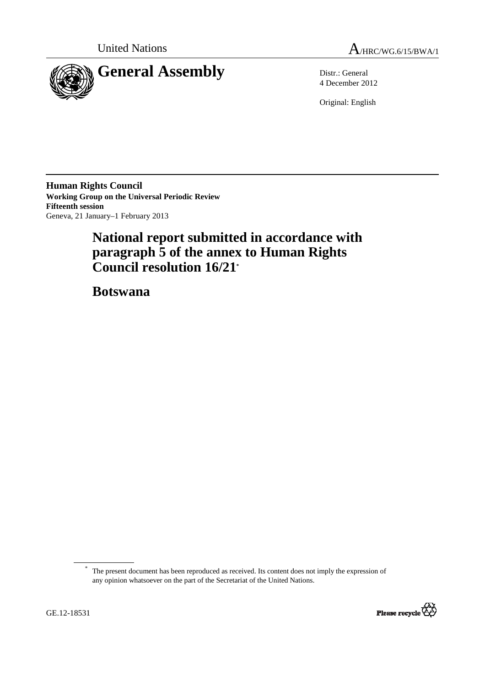



4 December 2012

Original: English

**Human Rights Council Working Group on the Universal Periodic Review Fifteenth session**  Geneva, 21 January–1 February 2013

# **National report submitted in accordance with paragraph 5 of the annex to Human Rights Council resolution 16/21\***

 **Botswana** 

The present document has been reproduced as received. Its content does not imply the expression of any opinion whatsoever on the part of the Secretariat of the United Nations.



 $\overline{a}$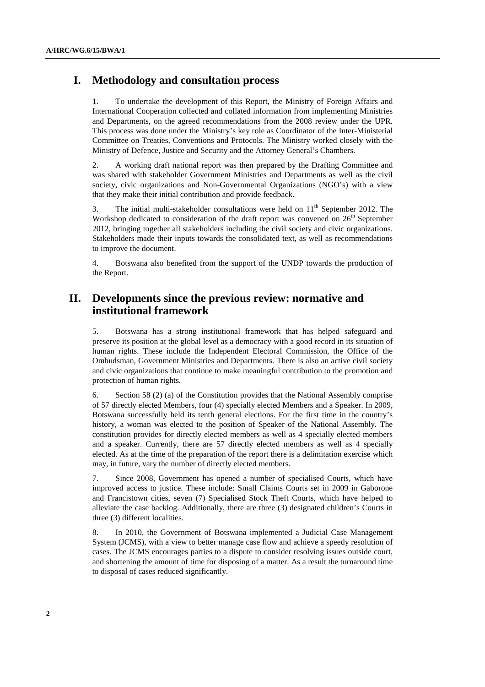## **I. Methodology and consultation process**

1. To undertake the development of this Report, the Ministry of Foreign Affairs and International Cooperation collected and collated information from implementing Ministries and Departments, on the agreed recommendations from the 2008 review under the UPR. This process was done under the Ministry's key role as Coordinator of the Inter-Ministerial Committee on Treaties, Conventions and Protocols. The Ministry worked closely with the Ministry of Defence, Justice and Security and the Attorney General's Chambers.

2. A working draft national report was then prepared by the Drafting Committee and was shared with stakeholder Government Ministries and Departments as well as the civil society, civic organizations and Non-Governmental Organizations (NGO's) with a view that they make their initial contribution and provide feedback.

3. The initial multi-stakeholder consultations were held on  $11<sup>th</sup>$  September 2012. The Workshop dedicated to consideration of the draft report was convened on  $26<sup>th</sup>$  September 2012, bringing together all stakeholders including the civil society and civic organizations. Stakeholders made their inputs towards the consolidated text, as well as recommendations to improve the document.

4. Botswana also benefited from the support of the UNDP towards the production of the Report.

## **II. Developments since the previous review: normative and institutional framework**

5. Botswana has a strong institutional framework that has helped safeguard and preserve its position at the global level as a democracy with a good record in its situation of human rights. These include the Independent Electoral Commission, the Office of the Ombudsman, Government Ministries and Departments. There is also an active civil society and civic organizations that continue to make meaningful contribution to the promotion and protection of human rights.

6. Section 58 (2) (a) of the Constitution provides that the National Assembly comprise of 57 directly elected Members, four (4) specially elected Members and a Speaker. In 2009, Botswana successfully held its tenth general elections. For the first time in the country's history, a woman was elected to the position of Speaker of the National Assembly. The constitution provides for directly elected members as well as 4 specially elected members and a speaker. Currently, there are 57 directly elected members as well as 4 specially elected. As at the time of the preparation of the report there is a delimitation exercise which may, in future, vary the number of directly elected members.

7. Since 2008, Government has opened a number of specialised Courts, which have improved access to justice. These include: Small Claims Courts set in 2009 in Gaborone and Francistown cities, seven (7) Specialised Stock Theft Courts, which have helped to alleviate the case backlog. Additionally, there are three (3) designated children's Courts in three (3) different localities.

8. In 2010, the Government of Botswana implemented a Judicial Case Management System (JCMS), with a view to better manage case flow and achieve a speedy resolution of cases. The JCMS encourages parties to a dispute to consider resolving issues outside court, and shortening the amount of time for disposing of a matter. As a result the turnaround time to disposal of cases reduced significantly.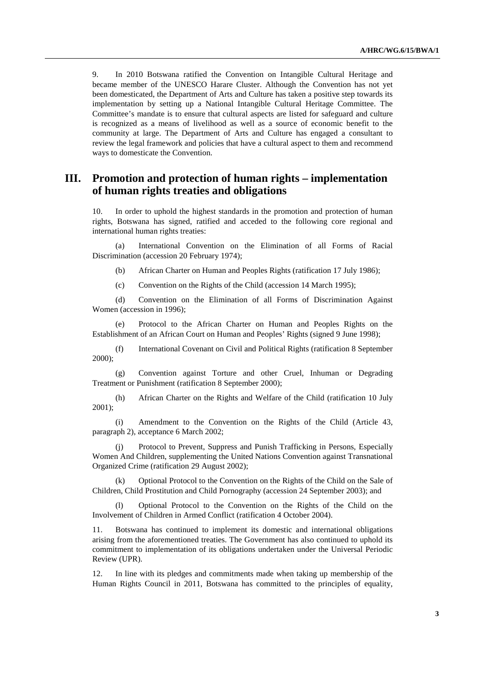9. In 2010 Botswana ratified the Convention on Intangible Cultural Heritage and became member of the UNESCO Harare Cluster. Although the Convention has not yet been domesticated, the Department of Arts and Culture has taken a positive step towards its implementation by setting up a National Intangible Cultural Heritage Committee. The Committee's mandate is to ensure that cultural aspects are listed for safeguard and culture is recognized as a means of livelihood as well as a source of economic benefit to the community at large. The Department of Arts and Culture has engaged a consultant to review the legal framework and policies that have a cultural aspect to them and recommend ways to domesticate the Convention.

## **III. Promotion and protection of human rights – implementation of human rights treaties and obligations**

10. In order to uphold the highest standards in the promotion and protection of human rights, Botswana has signed, ratified and acceded to the following core regional and international human rights treaties:

(a) International Convention on the Elimination of all Forms of Racial Discrimination (accession 20 February 1974);

(b) African Charter on Human and Peoples Rights (ratification 17 July 1986);

(c) Convention on the Rights of the Child (accession 14 March 1995);

(d) Convention on the Elimination of all Forms of Discrimination Against Women (accession in 1996);

(e) Protocol to the African Charter on Human and Peoples Rights on the Establishment of an African Court on Human and Peoples' Rights (signed 9 June 1998);

(f) International Covenant on Civil and Political Rights (ratification 8 September 2000);

(g) Convention against Torture and other Cruel, Inhuman or Degrading Treatment or Punishment (ratification 8 September 2000);

(h) African Charter on the Rights and Welfare of the Child (ratification 10 July 2001);

(i) Amendment to the Convention on the Rights of the Child (Article 43, paragraph 2), acceptance 6 March 2002;

(j) Protocol to Prevent, Suppress and Punish Trafficking in Persons, Especially Women And Children, supplementing the United Nations Convention against Transnational Organized Crime (ratification 29 August 2002);

(k) Optional Protocol to the Convention on the Rights of the Child on the Sale of Children, Child Prostitution and Child Pornography (accession 24 September 2003); and

(l) Optional Protocol to the Convention on the Rights of the Child on the Involvement of Children in Armed Conflict (ratification 4 October 2004).

11. Botswana has continued to implement its domestic and international obligations arising from the aforementioned treaties. The Government has also continued to uphold its commitment to implementation of its obligations undertaken under the Universal Periodic Review (UPR).

12. In line with its pledges and commitments made when taking up membership of the Human Rights Council in 2011, Botswana has committed to the principles of equality,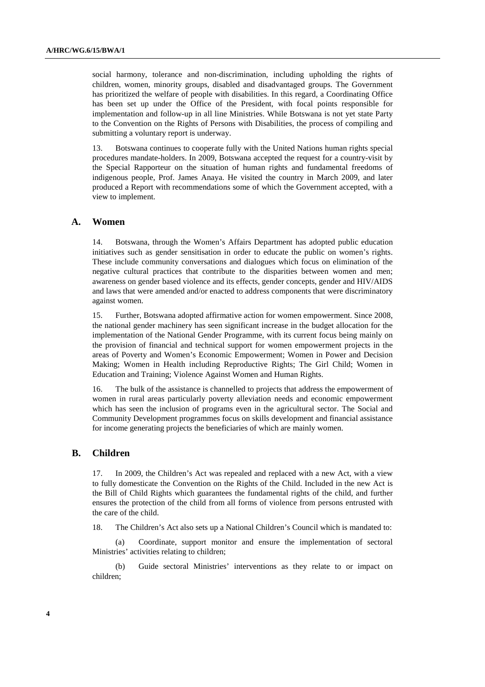social harmony, tolerance and non-discrimination, including upholding the rights of children, women, minority groups, disabled and disadvantaged groups. The Government has prioritized the welfare of people with disabilities. In this regard, a Coordinating Office has been set up under the Office of the President, with focal points responsible for implementation and follow-up in all line Ministries. While Botswana is not yet state Party to the Convention on the Rights of Persons with Disabilities, the process of compiling and submitting a voluntary report is underway.

13. Botswana continues to cooperate fully with the United Nations human rights special procedures mandate-holders. In 2009, Botswana accepted the request for a country-visit by the Special Rapporteur on the situation of human rights and fundamental freedoms of indigenous people, Prof. James Anaya. He visited the country in March 2009, and later produced a Report with recommendations some of which the Government accepted, with a view to implement.

### **A. Women**

14. Botswana, through the Women's Affairs Department has adopted public education initiatives such as gender sensitisation in order to educate the public on women's rights. These include community conversations and dialogues which focus on elimination of the negative cultural practices that contribute to the disparities between women and men; awareness on gender based violence and its effects, gender concepts, gender and HIV/AIDS and laws that were amended and/or enacted to address components that were discriminatory against women.

15. Further, Botswana adopted affirmative action for women empowerment. Since 2008, the national gender machinery has seen significant increase in the budget allocation for the implementation of the National Gender Programme, with its current focus being mainly on the provision of financial and technical support for women empowerment projects in the areas of Poverty and Women's Economic Empowerment; Women in Power and Decision Making; Women in Health including Reproductive Rights; The Girl Child; Women in Education and Training; Violence Against Women and Human Rights.

16. The bulk of the assistance is channelled to projects that address the empowerment of women in rural areas particularly poverty alleviation needs and economic empowerment which has seen the inclusion of programs even in the agricultural sector. The Social and Community Development programmes focus on skills development and financial assistance for income generating projects the beneficiaries of which are mainly women.

### **B. Children**

17. In 2009, the Children's Act was repealed and replaced with a new Act, with a view to fully domesticate the Convention on the Rights of the Child. Included in the new Act is the Bill of Child Rights which guarantees the fundamental rights of the child, and further ensures the protection of the child from all forms of violence from persons entrusted with the care of the child.

18. The Children's Act also sets up a National Children's Council which is mandated to:

(a) Coordinate, support monitor and ensure the implementation of sectoral Ministries' activities relating to children;

(b) Guide sectoral Ministries' interventions as they relate to or impact on children;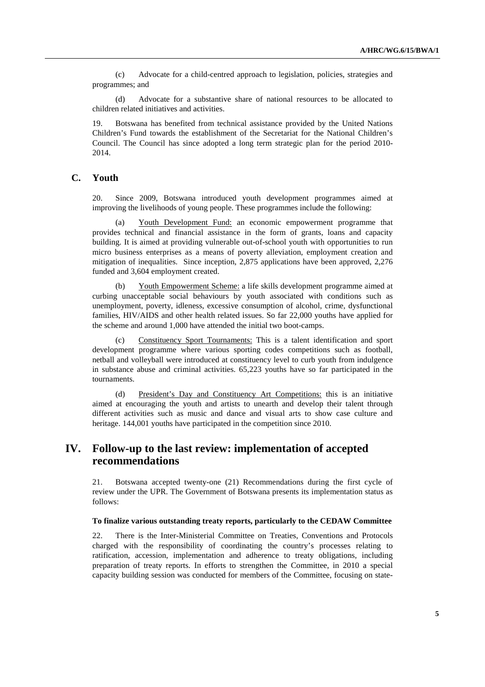(c) Advocate for a child-centred approach to legislation, policies, strategies and programmes; and

(d) Advocate for a substantive share of national resources to be allocated to children related initiatives and activities.

19. Botswana has benefited from technical assistance provided by the United Nations Children's Fund towards the establishment of the Secretariat for the National Children's Council. The Council has since adopted a long term strategic plan for the period 2010- 2014.

## **C. Youth**

20. Since 2009, Botswana introduced youth development programmes aimed at improving the livelihoods of young people. These programmes include the following:

(a) Youth Development Fund: an economic empowerment programme that provides technical and financial assistance in the form of grants, loans and capacity building. It is aimed at providing vulnerable out-of-school youth with opportunities to run micro business enterprises as a means of poverty alleviation, employment creation and mitigation of inequalities. Since inception, 2,875 applications have been approved, 2,276 funded and 3,604 employment created.

Youth Empowerment Scheme: a life skills development programme aimed at curbing unacceptable social behaviours by youth associated with conditions such as unemployment, poverty, idleness, excessive consumption of alcohol, crime, dysfunctional families, HIV/AIDS and other health related issues. So far 22,000 youths have applied for the scheme and around 1,000 have attended the initial two boot-camps.

(c) Constituency Sport Tournaments: This is a talent identification and sport development programme where various sporting codes competitions such as football, netball and volleyball were introduced at constituency level to curb youth from indulgence in substance abuse and criminal activities. 65,223 youths have so far participated in the tournaments.

(d) President's Day and Constituency Art Competitions: this is an initiative aimed at encouraging the youth and artists to unearth and develop their talent through different activities such as music and dance and visual arts to show case culture and heritage. 144,001 youths have participated in the competition since 2010.

## **IV. Follow-up to the last review: implementation of accepted recommendations**

21. Botswana accepted twenty-one (21) Recommendations during the first cycle of review under the UPR. The Government of Botswana presents its implementation status as follows:

#### **To finalize various outstanding treaty reports, particularly to the CEDAW Committee**

22. There is the Inter-Ministerial Committee on Treaties, Conventions and Protocols charged with the responsibility of coordinating the country's processes relating to ratification, accession, implementation and adherence to treaty obligations, including preparation of treaty reports. In efforts to strengthen the Committee, in 2010 a special capacity building session was conducted for members of the Committee, focusing on state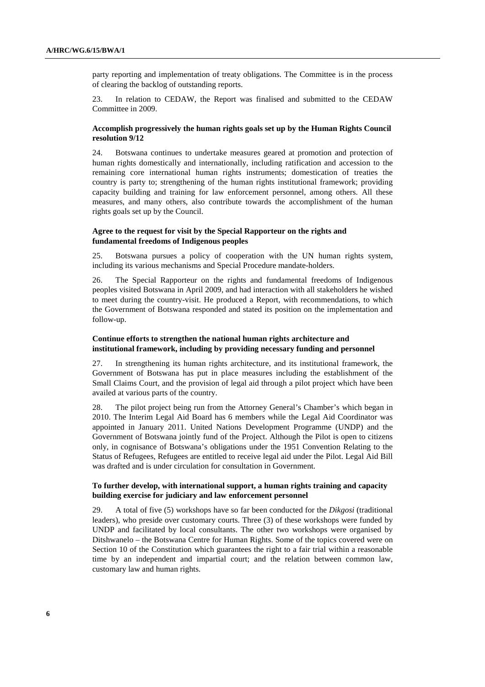party reporting and implementation of treaty obligations. The Committee is in the process of clearing the backlog of outstanding reports.

23. In relation to CEDAW, the Report was finalised and submitted to the CEDAW Committee in 2009.

### **Accomplish progressively the human rights goals set up by the Human Rights Council resolution 9/12**

24. Botswana continues to undertake measures geared at promotion and protection of human rights domestically and internationally, including ratification and accession to the remaining core international human rights instruments; domestication of treaties the country is party to; strengthening of the human rights institutional framework; providing capacity building and training for law enforcement personnel, among others. All these measures, and many others, also contribute towards the accomplishment of the human rights goals set up by the Council.

### **Agree to the request for visit by the Special Rapporteur on the rights and fundamental freedoms of Indigenous peoples**

25. Botswana pursues a policy of cooperation with the UN human rights system, including its various mechanisms and Special Procedure mandate-holders.

26. The Special Rapporteur on the rights and fundamental freedoms of Indigenous peoples visited Botswana in April 2009, and had interaction with all stakeholders he wished to meet during the country-visit. He produced a Report, with recommendations, to which the Government of Botswana responded and stated its position on the implementation and follow-up.

### **Continue efforts to strengthen the national human rights architecture and institutional framework, including by providing necessary funding and personnel**

27. In strengthening its human rights architecture, and its institutional framework, the Government of Botswana has put in place measures including the establishment of the Small Claims Court, and the provision of legal aid through a pilot project which have been availed at various parts of the country.

28. The pilot project being run from the Attorney General's Chamber's which began in 2010. The Interim Legal Aid Board has 6 members while the Legal Aid Coordinator was appointed in January 2011. United Nations Development Programme (UNDP) and the Government of Botswana jointly fund of the Project. Although the Pilot is open to citizens only, in cognisance of Botswana's obligations under the 1951 Convention Relating to the Status of Refugees, Refugees are entitled to receive legal aid under the Pilot. Legal Aid Bill was drafted and is under circulation for consultation in Government.

### **To further develop, with international support, a human rights training and capacity building exercise for judiciary and law enforcement personnel**

29. A total of five (5) workshops have so far been conducted for the *Dikgosi* (traditional leaders), who preside over customary courts. Three (3) of these workshops were funded by UNDP and facilitated by local consultants. The other two workshops were organised by Ditshwanelo – the Botswana Centre for Human Rights. Some of the topics covered were on Section 10 of the Constitution which guarantees the right to a fair trial within a reasonable time by an independent and impartial court; and the relation between common law, customary law and human rights.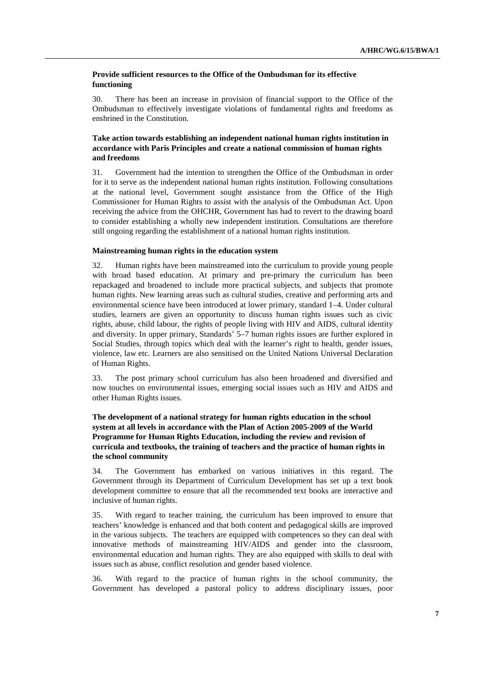### **Provide sufficient resources to the Office of the Ombudsman for its effective functioning**

30. There has been an increase in provision of financial support to the Office of the Ombudsman to effectively investigate violations of fundamental rights and freedoms as enshrined in the Constitution.

### **Take action towards establishing an independent national human rights institution in accordance with Paris Principles and create a national commission of human rights and freedoms**

31. Government had the intention to strengthen the Office of the Ombudsman in order for it to serve as the independent national human rights institution. Following consultations at the national level, Government sought assistance from the Office of the High Commissioner for Human Rights to assist with the analysis of the Ombudsman Act. Upon receiving the advice from the OHCHR, Government has had to revert to the drawing board to consider establishing a wholly new independent institution. Consultations are therefore still ongoing regarding the establishment of a national human rights institution.

#### **Mainstreaming human rights in the education system**

32. Human rights have been mainstreamed into the curriculum to provide young people with broad based education. At primary and pre-primary the curriculum has been repackaged and broadened to include more practical subjects, and subjects that promote human rights. New learning areas such as cultural studies, creative and performing arts and environmental science have been introduced at lower primary, standard 1–4. Under cultural studies, learners are given an opportunity to discuss human rights issues such as civic rights, abuse, child labour, the rights of people living with HIV and AIDS, cultural identity and diversity. In upper primary, Standards' 5–7 human rights issues are further explored in Social Studies, through topics which deal with the learner's right to health, gender issues, violence, law etc. Learners are also sensitised on the United Nations Universal Declaration of Human Rights.

33. The post primary school curriculum has also been broadened and diversified and now touches on environmental issues, emerging social issues such as HIV and AIDS and other Human Rights issues.

### **The development of a national strategy for human rights education in the school system at all levels in accordance with the Plan of Action 2005-2009 of the World Programme for Human Rights Education, including the review and revision of curricula and textbooks, the training of teachers and the practice of human rights in the school community**

34. The Government has embarked on various initiatives in this regard. The Government through its Department of Curriculum Development has set up a text book development committee to ensure that all the recommended text books are interactive and inclusive of human rights.

35. With regard to teacher training, the curriculum has been improved to ensure that teachers' knowledge is enhanced and that both content and pedagogical skills are improved in the various subjects. The teachers are equipped with competences so they can deal with innovative methods of mainstreaming HIV/AIDS and gender into the classroom, environmental education and human rights. They are also equipped with skills to deal with issues such as abuse, conflict resolution and gender based violence.

36. With regard to the practice of human rights in the school community, the Government has developed a pastoral policy to address disciplinary issues, poor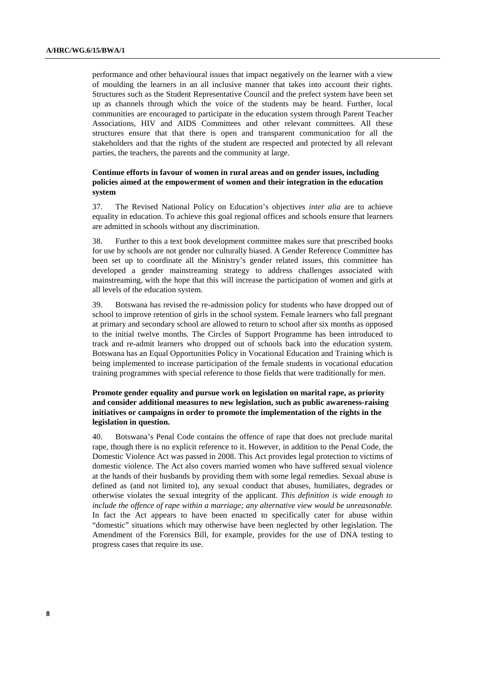performance and other behavioural issues that impact negatively on the learner with a view of moulding the learners in an all inclusive manner that takes into account their rights. Structures such as the Student Representative Council and the prefect system have been set up as channels through which the voice of the students may be heard. Further, local communities are encouraged to participate in the education system through Parent Teacher Associations, HIV and AIDS Committees and other relevant committees. All these structures ensure that that there is open and transparent communication for all the stakeholders and that the rights of the student are respected and protected by all relevant parties, the teachers, the parents and the community at large.

### **Continue efforts in favour of women in rural areas and on gender issues, including policies aimed at the empowerment of women and their integration in the education system**

37. The Revised National Policy on Education's objectives *inter alia* are to achieve equality in education. To achieve this goal regional offices and schools ensure that learners are admitted in schools without any discrimination.

38. Further to this a text book development committee makes sure that prescribed books for use by schools are not gender nor culturally biased. A Gender Reference Committee has been set up to coordinate all the Ministry's gender related issues, this committee has developed a gender mainstreaming strategy to address challenges associated with mainstreaming, with the hope that this will increase the participation of women and girls at all levels of the education system.

39. Botswana has revised the re-admission policy for students who have dropped out of school to improve retention of girls in the school system. Female learners who fall pregnant at primary and secondary school are allowed to return to school after six months as opposed to the initial twelve months. The Circles of Support Programme has been introduced to track and re-admit learners who dropped out of schools back into the education system. Botswana has an Equal Opportunities Policy in Vocational Education and Training which is being implemented to increase participation of the female students in vocational education training programmes with special reference to those fields that were traditionally for men.

### **Promote gender equality and pursue work on legislation on marital rape, as priority and consider additional measures to new legislation, such as public awareness-raising initiatives or campaigns in order to promote the implementation of the rights in the legislation in question.**

40. Botswana's Penal Code contains the offence of rape that does not preclude marital rape, though there is no explicit reference to it. However, in addition to the Penal Code, the Domestic Violence Act was passed in 2008. This Act provides legal protection to victims of domestic violence. The Act also covers married women who have suffered sexual violence at the hands of their husbands by providing them with some legal remedies. Sexual abuse is defined as (and not limited to), any sexual conduct that abuses, humiliates, degrades or otherwise violates the sexual integrity of the applicant. *This definition is wide enough to include the offence of rape within a marriage; any alternative view would be unreasonable.* In fact the Act appears to have been enacted to specifically cater for abuse within "domestic" situations which may otherwise have been neglected by other legislation. The Amendment of the Forensics Bill, for example, provides for the use of DNA testing to progress cases that require its use.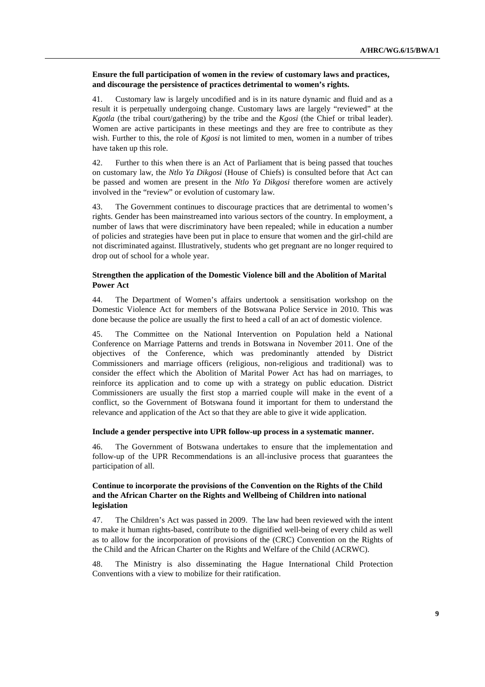### **Ensure the full participation of women in the review of customary laws and practices, and discourage the persistence of practices detrimental to women's rights.**

41. Customary law is largely uncodified and is in its nature dynamic and fluid and as a result it is perpetually undergoing change. Customary laws are largely "reviewed" at the *Kgotla* (the tribal court/gathering) by the tribe and the *Kgosi* (the Chief or tribal leader). Women are active participants in these meetings and they are free to contribute as they wish. Further to this, the role of *Kgosi* is not limited to men, women in a number of tribes have taken up this role.

42. Further to this when there is an Act of Parliament that is being passed that touches on customary law, the *Ntlo Ya Dikgosi* (House of Chiefs) is consulted before that Act can be passed and women are present in the *Ntlo Ya Dikgosi* therefore women are actively involved in the "review" or evolution of customary law.

43. The Government continues to discourage practices that are detrimental to women's rights. Gender has been mainstreamed into various sectors of the country. In employment, a number of laws that were discriminatory have been repealed; while in education a number of policies and strategies have been put in place to ensure that women and the girl-child are not discriminated against. Illustratively, students who get pregnant are no longer required to drop out of school for a whole year.

### **Strengthen the application of the Domestic Violence bill and the Abolition of Marital Power Act**

44. The Department of Women's affairs undertook a sensitisation workshop on the Domestic Violence Act for members of the Botswana Police Service in 2010. This was done because the police are usually the first to heed a call of an act of domestic violence.

45. The Committee on the National Intervention on Population held a National Conference on Marriage Patterns and trends in Botswana in November 2011. One of the objectives of the Conference, which was predominantly attended by District Commissioners and marriage officers (religious, non-religious and traditional) was to consider the effect which the Abolition of Marital Power Act has had on marriages, to reinforce its application and to come up with a strategy on public education. District Commissioners are usually the first stop a married couple will make in the event of a conflict, so the Government of Botswana found it important for them to understand the relevance and application of the Act so that they are able to give it wide application.

#### **Include a gender perspective into UPR follow-up process in a systematic manner.**

46. The Government of Botswana undertakes to ensure that the implementation and follow-up of the UPR Recommendations is an all-inclusive process that guarantees the participation of all.

### **Continue to incorporate the provisions of the Convention on the Rights of the Child and the African Charter on the Rights and Wellbeing of Children into national legislation**

47. The Children's Act was passed in 2009. The law had been reviewed with the intent to make it human rights-based, contribute to the dignified well-being of every child as well as to allow for the incorporation of provisions of the (CRC) Convention on the Rights of the Child and the African Charter on the Rights and Welfare of the Child (ACRWC).

48. The Ministry is also disseminating the Hague International Child Protection Conventions with a view to mobilize for their ratification.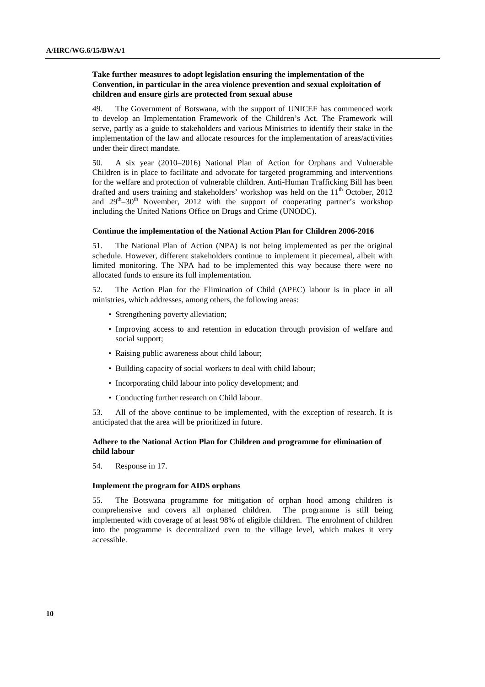### **Take further measures to adopt legislation ensuring the implementation of the Convention, in particular in the area violence prevention and sexual exploitation of children and ensure girls are protected from sexual abuse**

49. The Government of Botswana, with the support of UNICEF has commenced work to develop an Implementation Framework of the Children's Act. The Framework will serve, partly as a guide to stakeholders and various Ministries to identify their stake in the implementation of the law and allocate resources for the implementation of areas/activities under their direct mandate.

50. A six year (2010–2016) National Plan of Action for Orphans and Vulnerable Children is in place to facilitate and advocate for targeted programming and interventions for the welfare and protection of vulnerable children. Anti-Human Trafficking Bill has been drafted and users training and stakeholders' workshop was held on the  $11<sup>th</sup>$  October, 2012 and  $29<sup>th</sup>-30<sup>th</sup>$  November, 2012 with the support of cooperating partner's workshop including the United Nations Office on Drugs and Crime (UNODC).

#### **Continue the implementation of the National Action Plan for Children 2006-2016**

51. The National Plan of Action (NPA) is not being implemented as per the original schedule. However, different stakeholders continue to implement it piecemeal, albeit with limited monitoring. The NPA had to be implemented this way because there were no allocated funds to ensure its full implementation.

52. The Action Plan for the Elimination of Child (APEC) labour is in place in all ministries, which addresses, among others, the following areas:

- Strengthening poverty alleviation;
- Improving access to and retention in education through provision of welfare and social support;
- Raising public awareness about child labour;
- Building capacity of social workers to deal with child labour;
- Incorporating child labour into policy development; and
- Conducting further research on Child labour.

53. All of the above continue to be implemented, with the exception of research. It is anticipated that the area will be prioritized in future.

### **Adhere to the National Action Plan for Children and programme for elimination of child labour**

54. Response in 17.

### **Implement the program for AIDS orphans**

55. The Botswana programme for mitigation of orphan hood among children is comprehensive and covers all orphaned children. The programme is still being implemented with coverage of at least 98% of eligible children. The enrolment of children into the programme is decentralized even to the village level, which makes it very accessible.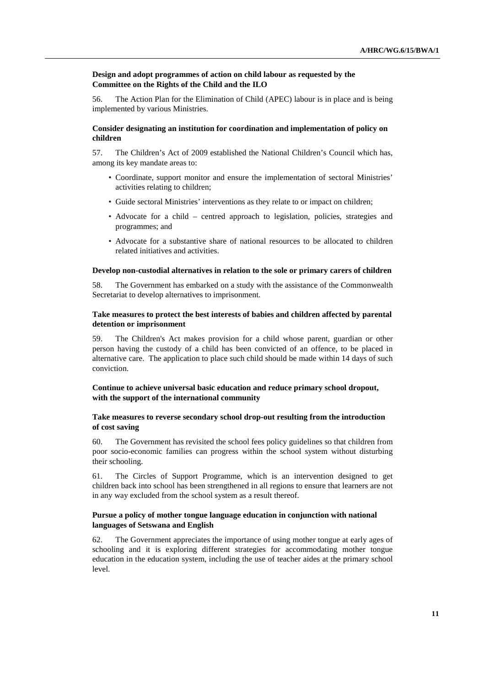### **Design and adopt programmes of action on child labour as requested by the Committee on the Rights of the Child and the ILO**

56. The Action Plan for the Elimination of Child (APEC) labour is in place and is being implemented by various Ministries.

### **Consider designating an institution for coordination and implementation of policy on children**

57. The Children's Act of 2009 established the National Children's Council which has, among its key mandate areas to:

- Coordinate, support monitor and ensure the implementation of sectoral Ministries' activities relating to children;
- Guide sectoral Ministries' interventions as they relate to or impact on children;
- Advocate for a child centred approach to legislation, policies, strategies and programmes; and
- Advocate for a substantive share of national resources to be allocated to children related initiatives and activities.

#### **Develop non-custodial alternatives in relation to the sole or primary carers of children**

58. The Government has embarked on a study with the assistance of the Commonwealth Secretariat to develop alternatives to imprisonment.

### **Take measures to protect the best interests of babies and children affected by parental detention or imprisonment**

59. The Children's Act makes provision for a child whose parent, guardian or other person having the custody of a child has been convicted of an offence, to be placed in alternative care. The application to place such child should be made within 14 days of such conviction.

### **Continue to achieve universal basic education and reduce primary school dropout, with the support of the international community**

### **Take measures to reverse secondary school drop-out resulting from the introduction of cost saving**

60. The Government has revisited the school fees policy guidelines so that children from poor socio-economic families can progress within the school system without disturbing their schooling.

61. The Circles of Support Programme, which is an intervention designed to get children back into school has been strengthened in all regions to ensure that learners are not in any way excluded from the school system as a result thereof.

### **Pursue a policy of mother tongue language education in conjunction with national languages of Setswana and English**

62. The Government appreciates the importance of using mother tongue at early ages of schooling and it is exploring different strategies for accommodating mother tongue education in the education system, including the use of teacher aides at the primary school level.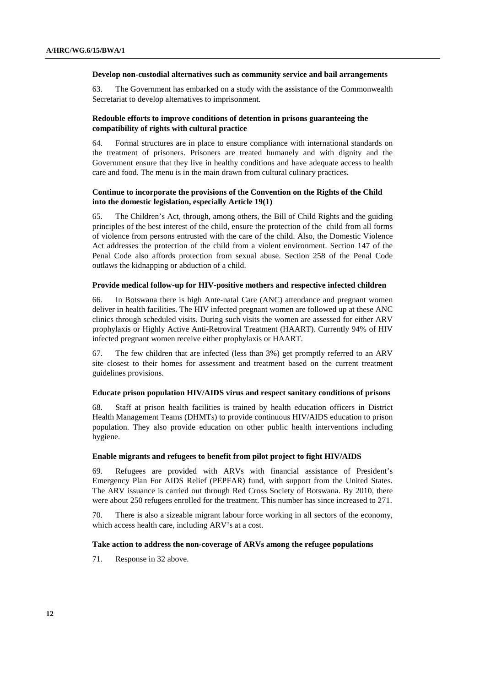#### **Develop non-custodial alternatives such as community service and bail arrangements**

63. The Government has embarked on a study with the assistance of the Commonwealth Secretariat to develop alternatives to imprisonment.

### **Redouble efforts to improve conditions of detention in prisons guaranteeing the compatibility of rights with cultural practice**

64. Formal structures are in place to ensure compliance with international standards on the treatment of prisoners. Prisoners are treated humanely and with dignity and the Government ensure that they live in healthy conditions and have adequate access to health care and food. The menu is in the main drawn from cultural culinary practices.

### **Continue to incorporate the provisions of the Convention on the Rights of the Child into the domestic legislation, especially Article 19(1)**

65. The Children's Act, through, among others, the Bill of Child Rights and the guiding principles of the best interest of the child, ensure the protection of the child from all forms of violence from persons entrusted with the care of the child. Also, the Domestic Violence Act addresses the protection of the child from a violent environment. Section 147 of the Penal Code also affords protection from sexual abuse. Section 258 of the Penal Code outlaws the kidnapping or abduction of a child.

### **Provide medical follow-up for HIV-positive mothers and respective infected children**

66. In Botswana there is high Ante-natal Care (ANC) attendance and pregnant women deliver in health facilities. The HIV infected pregnant women are followed up at these ANC clinics through scheduled visits. During such visits the women are assessed for either ARV prophylaxis or Highly Active Anti-Retroviral Treatment (HAART). Currently 94% of HIV infected pregnant women receive either prophylaxis or HAART.

67. The few children that are infected (less than 3%) get promptly referred to an ARV site closest to their homes for assessment and treatment based on the current treatment guidelines provisions.

#### **Educate prison population HIV/AIDS virus and respect sanitary conditions of prisons**

68. Staff at prison health facilities is trained by health education officers in District Health Management Teams (DHMTs) to provide continuous HIV/AIDS education to prison population. They also provide education on other public health interventions including hygiene.

#### **Enable migrants and refugees to benefit from pilot project to fight HIV/AIDS**

69. Refugees are provided with ARVs with financial assistance of President's Emergency Plan For AIDS Relief (PEPFAR) fund, with support from the United States. The ARV issuance is carried out through Red Cross Society of Botswana. By 2010, there were about 250 refugees enrolled for the treatment. This number has since increased to 271.

70. There is also a sizeable migrant labour force working in all sectors of the economy, which access health care, including ARV's at a cost.

#### **Take action to address the non-coverage of ARVs among the refugee populations**

71. Response in 32 above.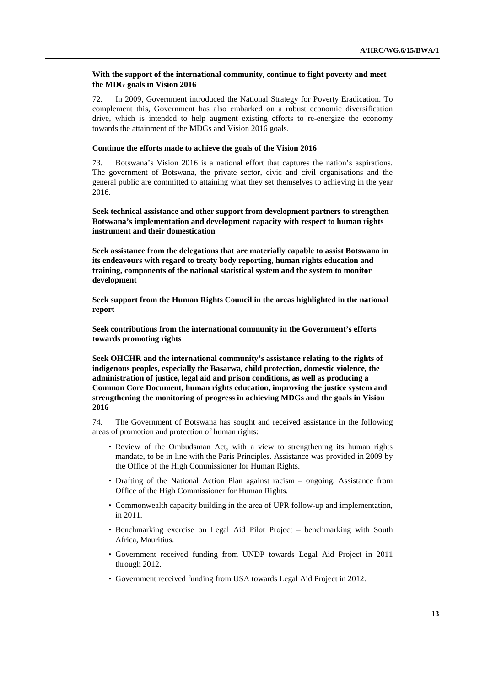### **With the support of the international community, continue to fight poverty and meet the MDG goals in Vision 2016**

72. In 2009, Government introduced the National Strategy for Poverty Eradication. To complement this, Government has also embarked on a robust economic diversification drive, which is intended to help augment existing efforts to re-energize the economy towards the attainment of the MDGs and Vision 2016 goals.

#### **Continue the efforts made to achieve the goals of the Vision 2016**

73. Botswana's Vision 2016 is a national effort that captures the nation's aspirations. The government of Botswana, the private sector, civic and civil organisations and the general public are committed to attaining what they set themselves to achieving in the year 2016.

 **Seek technical assistance and other support from development partners to strengthen Botswana's implementation and development capacity with respect to human rights instrument and their domestication** 

 **Seek assistance from the delegations that are materially capable to assist Botswana in its endeavours with regard to treaty body reporting, human rights education and training, components of the national statistical system and the system to monitor development** 

 **Seek support from the Human Rights Council in the areas highlighted in the national report** 

 **Seek contributions from the international community in the Government's efforts towards promoting rights** 

 **Seek OHCHR and the international community's assistance relating to the rights of indigenous peoples, especially the Basarwa, child protection, domestic violence, the administration of justice, legal aid and prison conditions, as well as producing a Common Core Document, human rights education, improving the justice system and strengthening the monitoring of progress in achieving MDGs and the goals in Vision 2016** 

74. The Government of Botswana has sought and received assistance in the following areas of promotion and protection of human rights:

- Review of the Ombudsman Act, with a view to strengthening its human rights mandate, to be in line with the Paris Principles. Assistance was provided in 2009 by the Office of the High Commissioner for Human Rights.
- Drafting of the National Action Plan against racism ongoing. Assistance from Office of the High Commissioner for Human Rights.
- Commonwealth capacity building in the area of UPR follow-up and implementation, in 2011.
- Benchmarking exercise on Legal Aid Pilot Project benchmarking with South Africa, Mauritius.
- Government received funding from UNDP towards Legal Aid Project in 2011 through 2012.
- Government received funding from USA towards Legal Aid Project in 2012.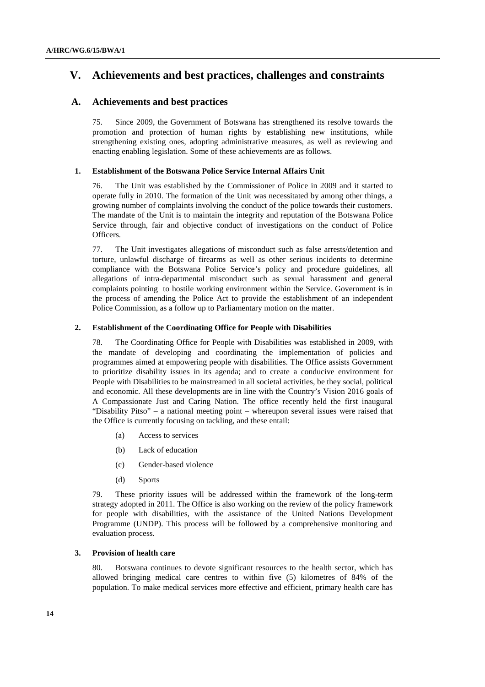## **V. Achievements and best practices, challenges and constraints**

## **A. Achievements and best practices**

75. Since 2009, the Government of Botswana has strengthened its resolve towards the promotion and protection of human rights by establishing new institutions, while strengthening existing ones, adopting administrative measures, as well as reviewing and enacting enabling legislation. Some of these achievements are as follows.

### **1. Establishment of the Botswana Police Service Internal Affairs Unit**

76. The Unit was established by the Commissioner of Police in 2009 and it started to operate fully in 2010. The formation of the Unit was necessitated by among other things, a growing number of complaints involving the conduct of the police towards their customers. The mandate of the Unit is to maintain the integrity and reputation of the Botswana Police Service through, fair and objective conduct of investigations on the conduct of Police Officers.

77. The Unit investigates allegations of misconduct such as false arrests/detention and torture, unlawful discharge of firearms as well as other serious incidents to determine compliance with the Botswana Police Service's policy and procedure guidelines, all allegations of intra-departmental misconduct such as sexual harassment and general complaints pointing to hostile working environment within the Service. Government is in the process of amending the Police Act to provide the establishment of an independent Police Commission, as a follow up to Parliamentary motion on the matter.

### **2. Establishment of the Coordinating Office for People with Disabilities**

78. The Coordinating Office for People with Disabilities was established in 2009, with the mandate of developing and coordinating the implementation of policies and programmes aimed at empowering people with disabilities. The Office assists Government to prioritize disability issues in its agenda; and to create a conducive environment for People with Disabilities to be mainstreamed in all societal activities, be they social, political and economic. All these developments are in line with the Country's Vision 2016 goals of A Compassionate Just and Caring Nation. The office recently held the first inaugural "Disability Pitso" – a national meeting point – whereupon several issues were raised that the Office is currently focusing on tackling, and these entail:

- (a) Access to services
- (b) Lack of education
- (c) Gender-based violence
- (d) Sports

79. These priority issues will be addressed within the framework of the long-term strategy adopted in 2011. The Office is also working on the review of the policy framework for people with disabilities, with the assistance of the United Nations Development Programme (UNDP). This process will be followed by a comprehensive monitoring and evaluation process.

### **3. Provision of health care**

80. Botswana continues to devote significant resources to the health sector, which has allowed bringing medical care centres to within five (5) kilometres of 84% of the population. To make medical services more effective and efficient, primary health care has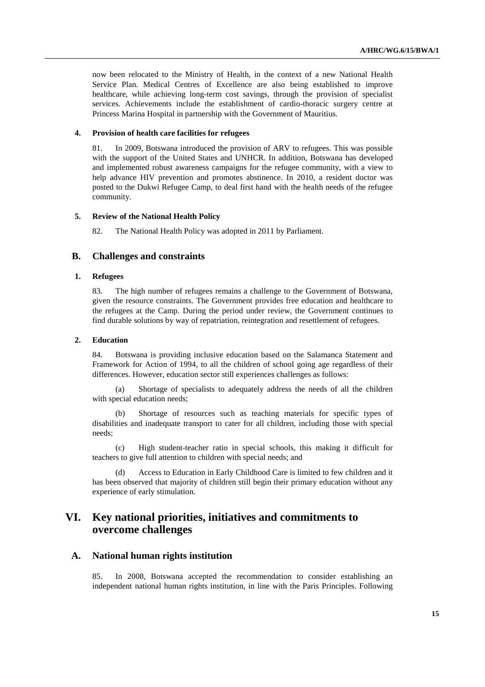now been relocated to the Ministry of Health, in the context of a new National Health Service Plan. Medical Centres of Excellence are also being established to improve healthcare, while achieving long-term cost savings, through the provision of specialist services. Achievements include the establishment of cardio-thoracic surgery centre at Princess Marina Hospital in partnership with the Government of Mauritius.

### **4. Provision of health care facilities for refugees**

81. In 2009, Botswana introduced the provision of ARV to refugees. This was possible with the support of the United States and UNHCR. In addition, Botswana has developed and implemented robust awareness campaigns for the refugee community, with a view to help advance HIV prevention and promotes abstinence. In 2010, a resident doctor was posted to the Dukwi Refugee Camp, to deal first hand with the health needs of the refugee community.

#### **5. Review of the National Health Policy**

82. The National Health Policy was adopted in 2011 by Parliament.

### **B. Challenges and constraints**

### **1. Refugees**

83. The high number of refugees remains a challenge to the Government of Botswana, given the resource constraints. The Government provides free education and healthcare to the refugees at the Camp. During the period under review, the Government continues to find durable solutions by way of repatriation, reintegration and resettlement of refugees.

### **2. Education**

84. Botswana is providing inclusive education based on the Salamanca Statement and Framework for Action of 1994, to all the children of school going age regardless of their differences. However, education sector still experiences challenges as follows:

(a) Shortage of specialists to adequately address the needs of all the children with special education needs;

(b) Shortage of resources such as teaching materials for specific types of disabilities and inadequate transport to cater for all children, including those with special needs;

(c) High student-teacher ratio in special schools, this making it difficult for teachers to give full attention to children with special needs; and

(d) Access to Education in Early Childhood Care is limited to few children and it has been observed that majority of children still begin their primary education without any experience of early stimulation.

## **VI. Key national priorities, initiatives and commitments to overcome challenges**

### **A. National human rights institution**

85. In 2008, Botswana accepted the recommendation to consider establishing an independent national human rights institution, in line with the Paris Principles. Following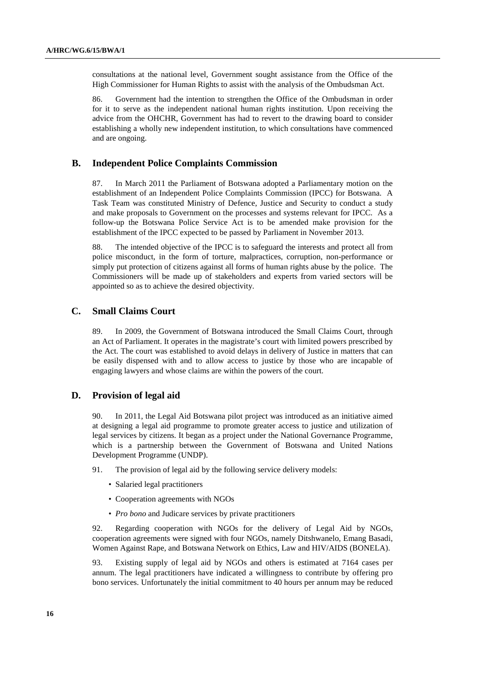consultations at the national level, Government sought assistance from the Office of the High Commissioner for Human Rights to assist with the analysis of the Ombudsman Act.

86. Government had the intention to strengthen the Office of the Ombudsman in order for it to serve as the independent national human rights institution. Upon receiving the advice from the OHCHR, Government has had to revert to the drawing board to consider establishing a wholly new independent institution, to which consultations have commenced and are ongoing.

### **B. Independent Police Complaints Commission**

87. In March 2011 the Parliament of Botswana adopted a Parliamentary motion on the establishment of an Independent Police Complaints Commission (IPCC) for Botswana. A Task Team was constituted Ministry of Defence, Justice and Security to conduct a study and make proposals to Government on the processes and systems relevant for IPCC. As a follow-up the Botswana Police Service Act is to be amended make provision for the establishment of the IPCC expected to be passed by Parliament in November 2013.

88. The intended objective of the IPCC is to safeguard the interests and protect all from police misconduct, in the form of torture, malpractices, corruption, non-performance or simply put protection of citizens against all forms of human rights abuse by the police. The Commissioners will be made up of stakeholders and experts from varied sectors will be appointed so as to achieve the desired objectivity.

### **C. Small Claims Court**

89. In 2009, the Government of Botswana introduced the Small Claims Court, through an Act of Parliament. It operates in the magistrate's court with limited powers prescribed by the Act. The court was established to avoid delays in delivery of Justice in matters that can be easily dispensed with and to allow access to justice by those who are incapable of engaging lawyers and whose claims are within the powers of the court.

### **D. Provision of legal aid**

90. In 2011, the Legal Aid Botswana pilot project was introduced as an initiative aimed at designing a legal aid programme to promote greater access to justice and utilization of legal services by citizens. It began as a project under the National Governance Programme, which is a partnership between the Government of Botswana and United Nations Development Programme (UNDP).

- 91. The provision of legal aid by the following service delivery models:
	- Salaried legal practitioners
	- Cooperation agreements with NGOs
	- *Pro bono* and Judicare services by private practitioners

92. Regarding cooperation with NGOs for the delivery of Legal Aid by NGOs, cooperation agreements were signed with four NGOs, namely Ditshwanelo, Emang Basadi, Women Against Rape, and Botswana Network on Ethics, Law and HIV/AIDS (BONELA).

93. Existing supply of legal aid by NGOs and others is estimated at 7164 cases per annum. The legal practitioners have indicated a willingness to contribute by offering pro bono services. Unfortunately the initial commitment to 40 hours per annum may be reduced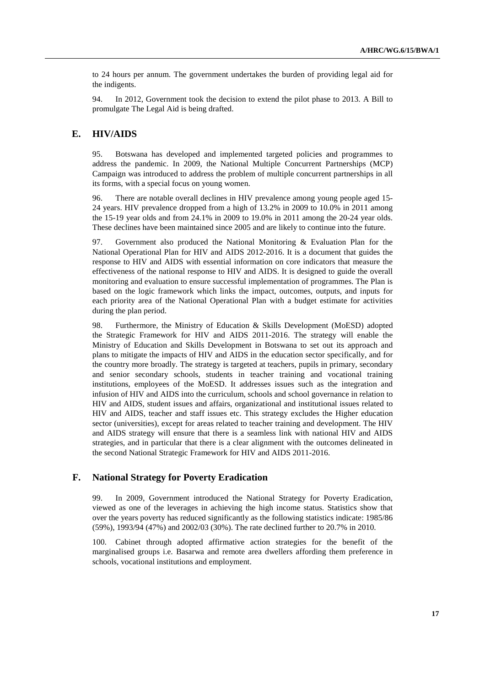to 24 hours per annum. The government undertakes the burden of providing legal aid for the indigents.

94. In 2012, Government took the decision to extend the pilot phase to 2013. A Bill to promulgate The Legal Aid is being drafted.

### **E. HIV/AIDS**

95. Botswana has developed and implemented targeted policies and programmes to address the pandemic. In 2009, the National Multiple Concurrent Partnerships (MCP) Campaign was introduced to address the problem of multiple concurrent partnerships in all its forms, with a special focus on young women.

96. There are notable overall declines in HIV prevalence among young people aged 15- 24 years. HIV prevalence dropped from a high of 13.2% in 2009 to 10.0% in 2011 among the 15-19 year olds and from 24.1% in 2009 to 19.0% in 2011 among the 20-24 year olds. These declines have been maintained since 2005 and are likely to continue into the future.

97. Government also produced the National Monitoring & Evaluation Plan for the National Operational Plan for HIV and AIDS 2012-2016. It is a document that guides the response to HIV and AIDS with essential information on core indicators that measure the effectiveness of the national response to HIV and AIDS. It is designed to guide the overall monitoring and evaluation to ensure successful implementation of programmes. The Plan is based on the logic framework which links the impact, outcomes, outputs, and inputs for each priority area of the National Operational Plan with a budget estimate for activities during the plan period.

98. Furthermore, the Ministry of Education & Skills Development (MoESD) adopted the Strategic Framework for HIV and AIDS 2011-2016. The strategy will enable the Ministry of Education and Skills Development in Botswana to set out its approach and plans to mitigate the impacts of HIV and AIDS in the education sector specifically, and for the country more broadly. The strategy is targeted at teachers, pupils in primary, secondary and senior secondary schools, students in teacher training and vocational training institutions, employees of the MoESD. It addresses issues such as the integration and infusion of HIV and AIDS into the curriculum, schools and school governance in relation to HIV and AIDS, student issues and affairs, organizational and institutional issues related to HIV and AIDS, teacher and staff issues etc. This strategy excludes the Higher education sector (universities), except for areas related to teacher training and development. The HIV and AIDS strategy will ensure that there is a seamless link with national HIV and AIDS strategies, and in particular that there is a clear alignment with the outcomes delineated in the second National Strategic Framework for HIV and AIDS 2011-2016.

### **F. National Strategy for Poverty Eradication**

99. In 2009, Government introduced the National Strategy for Poverty Eradication, viewed as one of the leverages in achieving the high income status. Statistics show that over the years poverty has reduced significantly as the following statistics indicate: 1985/86 (59%), 1993/94 (47%) and 2002/03 (30%). The rate declined further to 20.7% in 2010.

100. Cabinet through adopted affirmative action strategies for the benefit of the marginalised groups i.e. Basarwa and remote area dwellers affording them preference in schools, vocational institutions and employment.